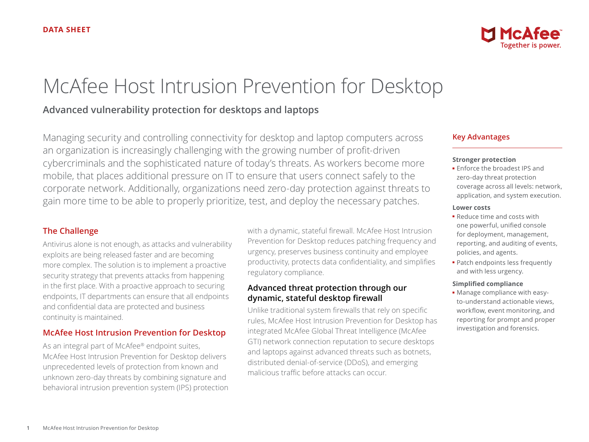# McAfee Host Intrusion Prevention for Desktop

# **Advanced vulnerability protection for desktops and laptops**

Managing security and controlling connectivity for desktop and laptop computers across an organization is increasingly challenging with the growing number of profit-driven cybercriminals and the sophisticated nature of today's threats. As workers become more mobile, that places additional pressure on IT to ensure that users connect safely to the corporate network. Additionally, organizations need zero-day protection against threats to gain more time to be able to properly prioritize, test, and deploy the necessary patches.

## **The Challenge**

Antivirus alone is not enough, as attacks and vulnerability exploits are being released faster and are becoming more complex. The solution is to implement a proactive security strategy that prevents attacks from happening in the first place. With a proactive approach to securing endpoints, IT departments can ensure that all endpoints and confidential data are protected and business continuity is maintained.

## **McAfee Host Intrusion Prevention for Desktop**

As an integral part of McAfee® endpoint suites, McAfee Host Intrusion Prevention for Desktop delivers unprecedented levels of protection from known and unknown zero-day threats by combining signature and behavioral intrusion prevention system (IPS) protection with a dynamic, stateful firewall. McAfee Host Intrusion Prevention for Desktop reduces patching frequency and urgency, preserves business continuity and employee productivity, protects data confidentiality, and simplifies regulatory compliance.

## **Advanced threat protection through our dynamic, stateful desktop firewall**

Unlike traditional system firewalls that rely on specific rules, McAfee Host Intrusion Prevention for Desktop has integrated McAfee Global Threat Intelligence (McAfee GTI) network connection reputation to secure desktops and laptops against advanced threats such as botnets, distributed denial-of-service (DDoS), and emerging malicious traffic before attacks can occur.



#### **Stronger protection**

■ Enforce the broadest IPS and zero-day threat protection coverage across all levels: network, application, and system execution.

#### **Lower costs**

- Reduce time and costs with one powerful, unified console for deployment, management, reporting, and auditing of events, policies, and agents.
- Patch endpoints less frequently and with less urgency.

#### **Simplified compliance**

■ Manage compliance with easyto-understand actionable views, workflow, event monitoring, and reporting for prompt and proper investigation and forensics.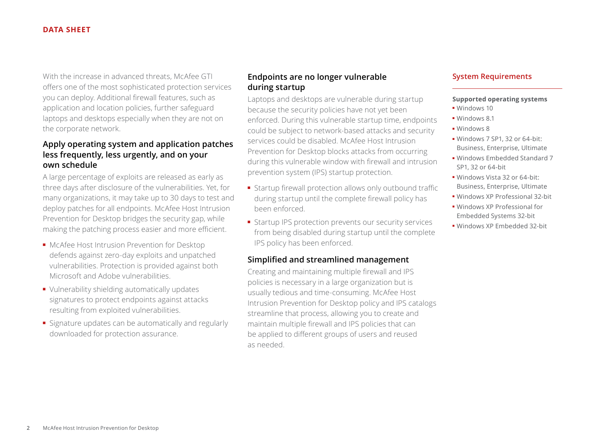#### **DATA SHEET**

With the increase in advanced threats, McAfee GTI offers one of the most sophisticated protection services you can deploy. Additional firewall features, such as application and location policies, further safeguard laptops and desktops especially when they are not on the corporate network.

# **Apply operating system and application patches less frequently, less urgently, and on your own schedule**

A large percentage of exploits are released as early as three days after disclosure of the vulnerabilities. Yet, for many organizations, it may take up to 30 days to test and deploy patches for all endpoints. McAfee Host Intrusion Prevention for Desktop bridges the security gap, while making the patching process easier and more efficient.

- McAfee Host Intrusion Prevention for Desktop defends against zero-day exploits and unpatched vulnerabilities. Protection is provided against both Microsoft and Adobe vulnerabilities.
- Vulnerability shielding automatically updates signatures to protect endpoints against attacks resulting from exploited vulnerabilities.
- Signature updates can be automatically and regularly downloaded for protection assurance.

# **Endpoints are no longer vulnerable during startup**

Laptops and desktops are vulnerable during startup because the security policies have not yet been enforced. During this vulnerable startup time, endpoints could be subject to network-based attacks and security services could be disabled. McAfee Host Intrusion Prevention for Desktop blocks attacks from occurring during this vulnerable window with firewall and intrusion prevention system (IPS) startup protection.

- Startup firewall protection allows only outbound traffic during startup until the complete firewall policy has been enforced.
- Startup IPS protection prevents our security services from being disabled during startup until the complete IPS policy has been enforced.

## **Simplified and streamlined management**

Creating and maintaining multiple firewall and IPS policies is necessary in a large organization but is usually tedious and time-consuming. McAfee Host Intrusion Prevention for Desktop policy and IPS catalogs streamline that process, allowing you to create and maintain multiple firewall and IPS policies that can be applied to different groups of users and reused as needed.

## **System Requirements**

#### **Supported operating systems**

- Windows 10
- Windows 8.1
- Windows 8
- Windows 7 SP1, 32 or 64-bit: Business, Enterprise, Ultimate
- Windows Embedded Standard 7 SP1, 32 or 64-bit
- Windows Vista 32 or 64-bit: Business, Enterprise, Ultimate
- Windows XP Professional 32-bit
- Windows XP Professional for Embedded Systems 32-bit
- Windows XP Embedded 32-bit